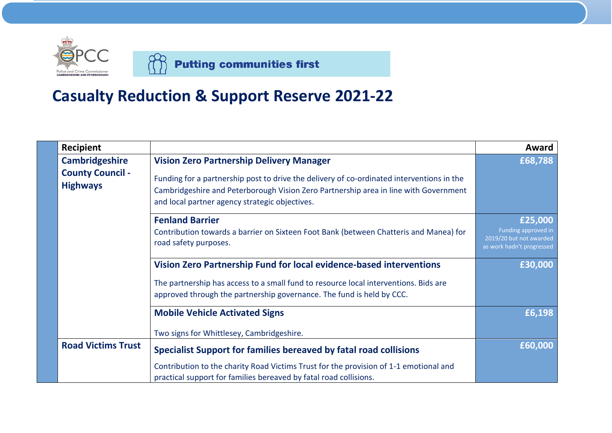

**Putting communities first** 

## **Casualty Reduction & Support Reserve 2021-22**

| <b>Recipient</b>                           |                                                                                                                                                                                                                                     | Award                                                                                  |
|--------------------------------------------|-------------------------------------------------------------------------------------------------------------------------------------------------------------------------------------------------------------------------------------|----------------------------------------------------------------------------------------|
| <b>Cambridgeshire</b>                      | <b>Vision Zero Partnership Delivery Manager</b>                                                                                                                                                                                     | £68,788                                                                                |
| <b>County Council -</b><br><b>Highways</b> | Funding for a partnership post to drive the delivery of co-ordinated interventions in the<br>Cambridgeshire and Peterborough Vision Zero Partnership area in line with Government<br>and local partner agency strategic objectives. |                                                                                        |
|                                            | <b>Fenland Barrier</b><br>Contribution towards a barrier on Sixteen Foot Bank (between Chatteris and Manea) for<br>road safety purposes.                                                                                            | £25,000<br>Funding approved in<br>2019/20 but not awarded<br>as work hadn't progressed |
|                                            | Vision Zero Partnership Fund for local evidence-based interventions                                                                                                                                                                 | £30,000                                                                                |
|                                            | The partnership has access to a small fund to resource local interventions. Bids are<br>approved through the partnership governance. The fund is held by CCC.                                                                       |                                                                                        |
|                                            | <b>Mobile Vehicle Activated Signs</b>                                                                                                                                                                                               | £6,198                                                                                 |
|                                            | Two signs for Whittlesey, Cambridgeshire.                                                                                                                                                                                           |                                                                                        |
| <b>Road Victims Trust</b>                  | Specialist Support for families bereaved by fatal road collisions                                                                                                                                                                   | £60,000                                                                                |
|                                            | Contribution to the charity Road Victims Trust for the provision of 1-1 emotional and<br>practical support for families bereaved by fatal road collisions.                                                                          |                                                                                        |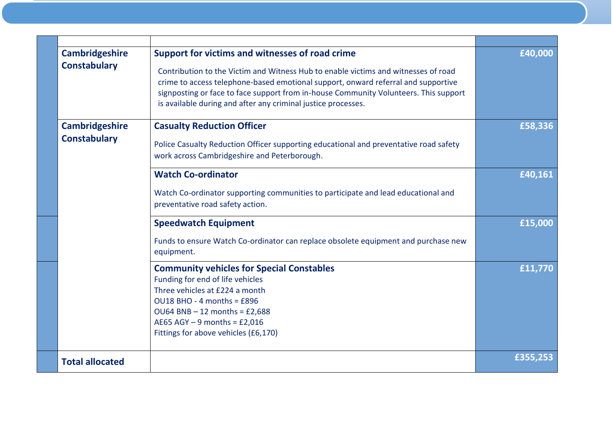| <b>Cambridgeshire</b><br><b>Constabulary</b> | Support for victims and witnesses of road crime                                                                                                                                                                                                                                                                                  | £40,000  |
|----------------------------------------------|----------------------------------------------------------------------------------------------------------------------------------------------------------------------------------------------------------------------------------------------------------------------------------------------------------------------------------|----------|
|                                              | Contribution to the Victim and Witness Hub to enable victims and witnesses of road<br>crime to access telephone-based emotional support, onward referral and supportive<br>signposting or face to face support from in-house Community Volunteers. This support<br>is available during and after any criminal justice processes. |          |
| <b>Cambridgeshire</b>                        | <b>Casualty Reduction Officer</b>                                                                                                                                                                                                                                                                                                | £58,336  |
| <b>Constabulary</b>                          | Police Casualty Reduction Officer supporting educational and preventative road safety<br>work across Cambridgeshire and Peterborough.                                                                                                                                                                                            |          |
|                                              | <b>Watch Co-ordinator</b>                                                                                                                                                                                                                                                                                                        | £40,161  |
|                                              | Watch Co-ordinator supporting communities to participate and lead educational and<br>preventative road safety action.                                                                                                                                                                                                            |          |
|                                              | <b>Speedwatch Equipment</b>                                                                                                                                                                                                                                                                                                      | £15,000  |
|                                              | Funds to ensure Watch Co-ordinator can replace obsolete equipment and purchase new<br>equipment.                                                                                                                                                                                                                                 |          |
|                                              | <b>Community vehicles for Special Constables</b><br>Funding for end of life vehicles<br>Three vehicles at £224 a month                                                                                                                                                                                                           | £11,770  |
|                                              | OU18 BHO - 4 months = £896<br>$OUB4 BNB - 12 months = £2,688$                                                                                                                                                                                                                                                                    |          |
|                                              | AE65 AGY $-9$ months = £2,016                                                                                                                                                                                                                                                                                                    |          |
|                                              | Fittings for above vehicles (£6,170)                                                                                                                                                                                                                                                                                             |          |
| <b>Total allocated</b>                       |                                                                                                                                                                                                                                                                                                                                  | £355,253 |